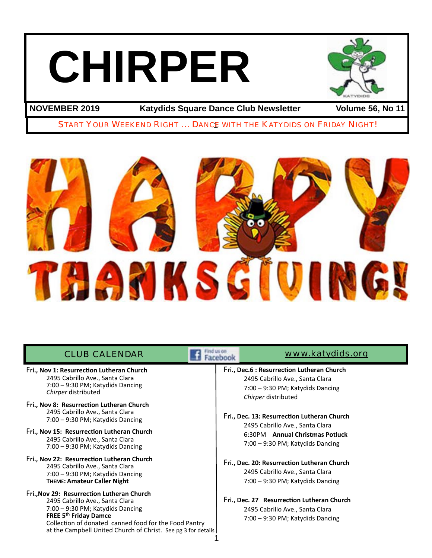# **CHIRPER**



**NOVEMBER 2019 Katydids Square Dance Club Newsletter Volume 56, No 11**

START YOUR WEEKEND RIGHT ... DANCE WITH THE KATYDIDS ON FRIDAY NIGHT!



| <b>CLUB CALENDAR</b>                                                                                                                                                                                                                                                        | www.katydids.org                                                                                                                                                                                                                                                                       |  |
|-----------------------------------------------------------------------------------------------------------------------------------------------------------------------------------------------------------------------------------------------------------------------------|----------------------------------------------------------------------------------------------------------------------------------------------------------------------------------------------------------------------------------------------------------------------------------------|--|
| Fri., Nov 1: Resurrection Lutheran Church<br>2495 Cabrillo Ave., Santa Clara<br>7:00 - 9:30 PM; Katydids Dancing<br>Chirper distributed                                                                                                                                     | Fri., Dec.6 : Resurrection Lutheran Church<br>2495 Cabrillo Ave., Santa Clara<br>$7:00 - 9:30 \text{ PM}$ ; Katydids Dancing<br>Chirper distributed                                                                                                                                    |  |
| Fri., Nov 8: Resurrection Lutheran Church<br>2495 Cabrillo Ave., Santa Clara<br>7:00 - 9:30 PM; Katydids Dancing                                                                                                                                                            | Fri., Dec. 13: Resurrection Lutheran Church<br>2495 Cabrillo Ave., Santa Clara<br>6:30PM Annual Christmas Potluck<br>7:00 - 9:30 PM; Katydids Dancing<br>Fri., Dec. 20: Resurrection Lutheran Church<br>2495 Cabrillo Ave., Santa Clara<br>$7:00 - 9:30 \text{ PM}$ ; Katydids Dancing |  |
| Fri., Nov 15: Resurrection Lutheran Church<br>2495 Cabrillo Ave., Santa Clara<br>7:00 - 9:30 PM; Katydids Dancing                                                                                                                                                           |                                                                                                                                                                                                                                                                                        |  |
| Fri., Nov 22: Resurrection Lutheran Church<br>2495 Cabrillo Ave., Santa Clara<br>7:00 - 9:30 PM; Katydids Dancing<br><b>THEME: Amateur Caller Night</b>                                                                                                                     |                                                                                                                                                                                                                                                                                        |  |
| Fri., Nov 29: Resurrection Lutheran Church<br>2495 Cabrillo Ave., Santa Clara<br>7:00 - 9:30 PM; Katydids Dancing<br><b>FREE 5th Friday Damce</b><br>Collection of donated canned food for the Food Pantry<br>at the Campbell United Church of Christ. See pg 3 for details | Fri., Dec. 27 Resurrection Lutheran Church<br>2495 Cabrillo Ave., Santa Clara<br>7:00 - 9:30 PM; Katydids Dancing                                                                                                                                                                      |  |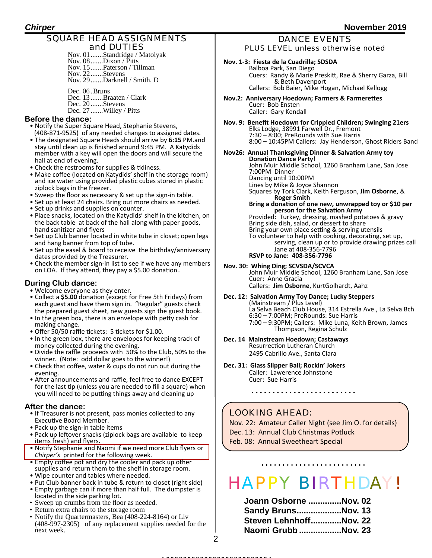### SQUARE HEAD ASSIGNMENTS and DUTIES

Nov. 01.......Standridge / Matolyak Nov. 08.......Dixon / Pitts Nov. 15.......Paterson / Tillman Nov. 22.......Stevens Nov. 29.......Darknell / Smith, D

Dec. 06 .Bruns Dec. 13 .......Braaten / Clark Dec. 20 .......Stevens Dec. 27 .......Willey / Pitts

### **Before the dance:**

- Notify the Super Square Head, Stephanie Stevens, (408-871-9525) of any needed changes to assigned dates.
- The designated Square Heads should arrive by 6:15 PM.and stay until clean up is finished around 9:45 PM. A Katydids member with a key will open the doors and will secure the hall at end of evening.
- Check the restrooms for supplies & tidiness.
- Make coffee (located on Katydids' shelf in the storage room) and ice water using provided plastic cubes stored in plastic ziplock bags in the freezer.
- Sweep the floor as necessary & set up the sign-in table.
- Set up at least 24 chairs. Bring out more chairs as needed.
- Set up drinks and supplies on counter.
- Place snacks, located on the Katydids' shelf in the kitchen, on the back table at back of the hall along with paper goods, hand sanitizer and flyers
- Set up Club banner located in white tube in closet; open legs and hang banner from top of tube.
- Set up the easel & board to receive the birthday/anniversary dates provided by the Treasurer.
- Check the member sign-in list to see if we have any members on LOA. If they attend, they pay a \$5.00 donation..

### **During Club dance:**

- Welcome everyone as they enter.
- Collect a \$5.00 donation (except for Free 5th Fridays) from each guest and have them sign in. "Regular" guests check the prepared guest sheet, new guests sign the guest book.
- In the green box, there is an envelope with petty cash for making change.
- Offer  $50/50$  raffle tickets: 5 tickets for \$1.00.
- In the green box, there are envelopes for keeping track of money collected during the evening.
- Divide the raffle proceeds with 50% to the Club, 50% to the winner. (Note: odd dollar goes to the winner!)
- Check that coffee, water & cups do not run out during the evening.
- After announcements and raffle, feel free to dance EXCEPT for the last tip (unless you are needed to fill a square) when you will need to be putting things away and cleaning up

### **After the dance:**

- If Treasurer is not present, pass monies collected to any Executive Board Member.
- Pack up the sign-in table items
- Pack up leftover snacks (ziplock bags are available to keep items fresh) and flyers.
- Notify Stephanie and Naomi if we need more Club flyers or *Chirper's* printed for the following week.
- Empty coffee pot and dry the cooler and pack up other supplies and return them to the shelf in storage room.
- Wipe counter and tables where needed.
- Put Club banner back in tube & return to closet (right side)
- Empty garbage can if more than half full. The dumpster is located in the side parking lot.
- Sweep up crumbs from the floor as needed.
- Return extra chairs to the storage room
- Notify the Quartermasters, Bea (408-224-8164) or Liv (408-997-2305) of any replacement supplies needed for the next week.

### DANCE EVENTS PLUS LEVEL unless otherwise noted

### Nov. 1-3: Fiesta de la Cuadrilla; SDSDA

 Balboa Park, San Diego Cuers: Randy & Marie Preskitt, Rae & Sherry Garza, Bill & Beth Davenport Callers: Bob Baier, Mike Hogan, Michael Kellogg

- **Nov.2: Anniversary Hoedown; Farmers & Farmerettes** Cuer: Bob Ensten Caller: Gary Kendall
- Nov. 9: Benefit Hoedown for Crippled Children; Swinging 21ers Elks Lodge, 38991 Farwell Dr., Fremont  $7:30 - 8:00$ ; PreRounds with Sue Harris 8:00 - 10:45PM Callers: Jay Henderson, Ghost Riders Band
- **Nov26: Annual Thanksgiving Dinner & Salvation Army toy Donation Dance Party!** John Muir Middle School, 1260 Branham Lane, San Jose 7:00PM Dinner Dancing until 10:00PM Lines by Mike & Joyce Shannon<br>Squares by Tork Clark, Keith Ferguson, Jim Osborne, & **Boger Smith Stark Condition**<br>Bring a donation of one new, unwrapped toy or \$10 per **person for the Salvation Army** Provided: Turkey, dressing, mashed potatoes & gravy Bring side dish, salad, or dessert to share Bring your own place setting & serving utensils To volunteer to help with cooking, decorating, set up, serving, clean up or to provide drawing prizes call Jane at 408-356-7796 **RSVP to Jane: 408-356-7796**
- **Nov. 30: Whing Ding; SCVSDA/SCVCA**

John Muir Middle School, 1260 Branham Lane, San Jose Cuer: Anne Gracia Callers: **Jim Osborne**, KurtGolhardt, Aahz

Dec. 12: Salvation Army Toy Dance; Lucky Steppers (Mainstream / Plus Level) La Selva Beach Club House, 314 Estrella Ave., La Selva Bch 6:30 - 7:00PM; PreRounds: Sue Harris 7:00 - 9:30PM; Callers: Mike Luna, Keith Brown, James Thompson, Regina Schulz

**Dec. 14 Mainstream Hoedown; Castaways**

Resurrection Lutheran Church 2495 Cabrillo Ave., Santa Clara

**Dec. 31: Glass Slipper Ball; Rockin' Jokers** Caller: Lawerence Johnstone Cuer: Sue Harris

### LOOKING AHEAD:

Nov. 22: Amateur Caller Night (see Jim O. for details) Dec. 13: Annual Club Christmas Potluck Feb. 08: Annual Sweetheart Special

# HAPPY BIRTHDAY!

| Joann Osborne Nov. 02  |  |
|------------------------|--|
| Sandy BrunsNov. 13     |  |
| Steven LehnhoffNov. 22 |  |
| Naomi Grubb Nov. 23    |  |

2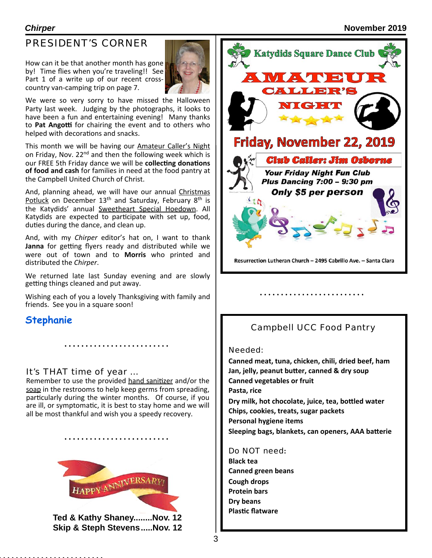## PRESIDENT'S CORNER

How can it be that another month has gone by! Time flies when you're traveling!! See Part 1 of a write up of our recent crosscountry van-camping trip on page 7.



We were so very sorry to have missed the Halloween Party last week. Judging by the photographs, it looks to have been a fun and entertaining evening! Many thanks to Pat Angotti for chairing the event and to others who helped with decorations and snacks.

This month we will be having our Amateur Caller's Night on Friday, Nov.  $22<sup>nd</sup>$  and then the following week which is our FREE 5th Friday dance we will be **collecting donations of food and cash** for families in need at the food pantry at the Campbell United Church of Christ.

And, planning ahead, we will have our annual Christmas Potluck on December  $13<sup>th</sup>$  and Saturday, February  $8<sup>th</sup>$  is the Katydids' annual Sweetheart Special Hoedown. All Katydids are expected to participate with set up, food, duties during the dance, and clean up.

And, with my *Chirper* editor's hat on, I want to thank **Janna** for getting flyers ready and distributed while we were out of town and to **Morris** who printed and distributed the *Chirper*.

We returned late last Sunday evening and are slowly getting things cleaned and put away.

Wishing each of you a lovely Thanksgiving with family and friends. See you in a square soon!

### **Stephanie**

### It's THAT time of year …

Remember to use the provided hand sanitizer and/or the soap in the restrooms to help keep germs from spreading, particularly during the winter months. Of course, if you are ill, or symptomatic, it is best to stay home and we will all be most thankful and wish you a speedy recovery.



**Ted & Kathy Shaney........Nov. 12 Skip & Steph Stevens.....Nov. 12**



### Campbell UCC Food Pantry

### Needed:

Canned meat, tuna, chicken, chili, dried beef, ham Jan, jelly, peanut butter, canned & dry soup **Canned vegetables or fruit Pasta, rice** Dry milk, hot chocolate, juice, tea, bottled water **Chips, cookies, treats, sugar packets Personal hygiene items** Sleeping bags, blankets, can openers, AAA batterie

Do NOT need**: Black tea Canned green beans Cough drops Protein bars Dry beans Plastic flatware**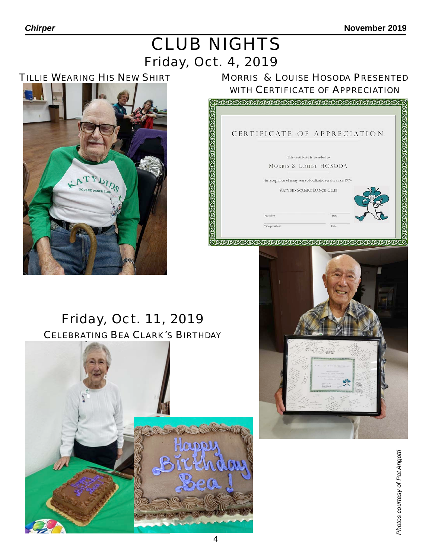# Friday, Oct. 4, 2019 CLUB NIGHTS

### TILLIE WEARING HIS NEW SHIRT



### MORRIS & LOUISE HOSODA PRESENTED WITH CERTIFICATE OF APPRECIATION



# Friday, Oct. 11, 2019 CELEBRATING BEA CLARK'S BIRTHDAY



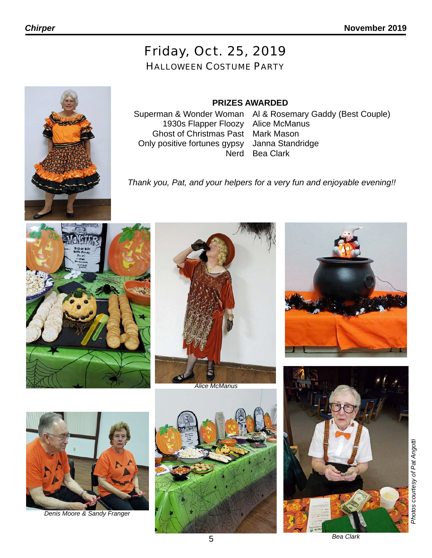# Friday, Oct. 25, 2019

### HALLOWEEN COSTUME PARTY

### **PRIZES AWARDED**

1930s Flapper Floozy Alice McManus Ghost of Christmas Past Only positive fortunes gypsy Nerd

Superman & Wonder Woman Al & Rosemary Gaddy (Best Couple) Mark Mason Janna Standridge Bea Clark

*Thank you, Pat, and your helpers for a very fun and enjoyable evening!!*





*Alice McManus*





*Denis Moore & Sandy Franger*





*Photos courtesy of Pat Angotti*

*Bea Clark*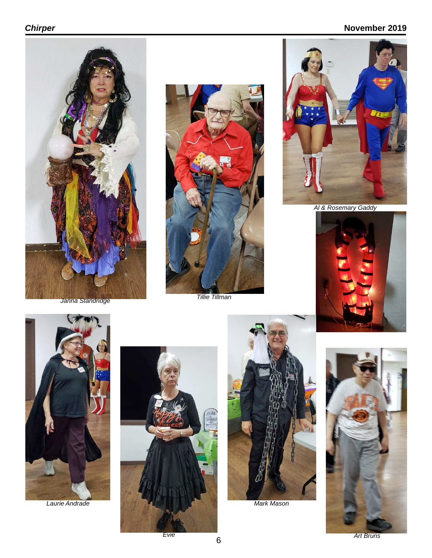### *Chirper* **November 2019**







*Al & Rosemary Gaddy*





*Laurie Andrade*







*Art Bruns*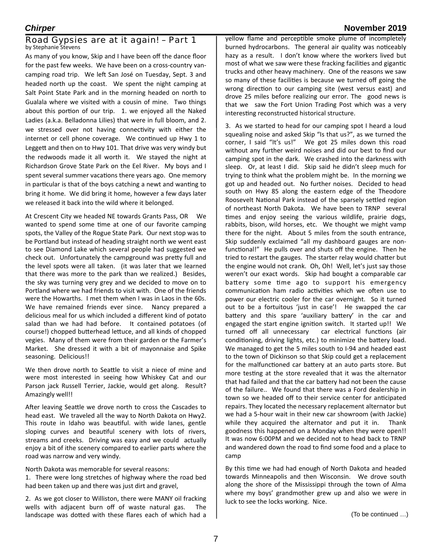### Road Gypsies are at it again! – Part 1 by Stephanie Stevens

As many of you know, Skip and I have been off the dance floor for the past few weeks. We have been on a cross-country vancamping road trip. We left San José on Tuesday, Sept. 3 and headed north up the coast. We spent the night camping at Salt Point State Park and in the morning headed on north to Gualala where we visited with a cousin of mine. Two things about this portion of our trip. 1. we enjoyed all the Naked Ladies (a.k.a. Belladonna Lilies) that were in full bloom, and 2. we stressed over not having connectivity with either the internet or cell phone coverage. We continued up Hwy 1 to Leggett and then on to Hwy 101. That drive was very windy but the redwoods made it all worth it. We stayed the night at Richardson Grove State Park on the Eel River. My boys and I spent several summer vacations there years ago. One memory in particular is that of the boys catching a newt and wanting to bring it home. We did bring it home, however a few days later we released it back into the wild where it belonged.

At Crescent City we headed NE towards Grants Pass, OR We wanted to spend some time at one of our favorite camping spots, the Valley of the Rogue State Park. Our next stop was to be Portland but instead of heading straight north we went east to see Diamond Lake which several people had suggested we check out. Unfortunately the campground was pretty full and the level spots were all taken. (it was later that we learned that there was more to the park than we realized.) Besides, the sky was turning very grey and we decided to move on to Portland where we had friends to visit with. One of the friends were the Howarths. I met them when I was in Laos in the 60s. We have remained friends ever since. Nancy prepared a delicious meal for us which included a different kind of potato salad than we had had before. It contained potatoes (of course!) chopped butterhead lettuce, and all kinds of chopped vegies. Many of them were from their garden or the Farmer's Market. She dressed it with a bit of mayonnaise and Spike seasoning. Delicious!!

We then drove north to Seattle to visit a niece of mine and were most interested in seeing how Whiskey Cat and our Parson jack Russell Terrier, Jackie, would get along. Result? Amazingly well!!

After leaving Seattle we drove north to cross the Cascades to head east. We traveled all the way to North Dakota on Hwy2. This route in Idaho was beautiful. with wide lanes, gentle sloping curves and beautiful scenery with lots of rivers, streams and creeks. Driving was easy and we could actually enjoy a bit of ithe scenery compared to earlier parts where the road was narrow and very windy.

North Dakota was memorable for several reasons:

1. There were long stretches of highway where the road bed had been taken up and there was just dirt and gravel,

2. As we got closer to Williston, there were MANY oil fracking wells with adjacent burn off of waste natural gas. The landscape was dotted with these flares each of which had a

yellow flame and perceptible smoke plume of incompletely burned hydrocarbons. The general air quality was noticeably hazy as a result. I don't know where the workers lived but most of what we saw were these fracking facilities and gigantic trucks and other heavy machinery. One of the reasons we saw so many of these facilities is because we turned off going the wrong direction to our camping site (west versus east) and drove 25 miles before realizing our error. The good news is that we saw the Fort Union Trading Post which was a very interesting reconstructed historical structure.

3. As we started to head for our camping spot I heard a loud squealing noise and asked Skip "Is that us?", as we turned the corner, I said "It's us!" We got 25 miles down this road without any further weird noises and did our best to find our camping spot in the dark. We crashed into the darkness with sleep. Or, at least I did. Skip said he didn't sleep much for trying to think what the problem might be. In the morning we got up and headed out. No further noises. Decided to head south on Hwy 85 along the eastern edge of the Theodore Roosevelt National Park instead of the sparsely settled region of northeast North Dakota. We have been to TRNP several times and enjoy seeing the various wildlife, prairie dogs, rabbits, bison, wild horses, etc. We thought we might vamp there for the night. About 5 miles from the south entrance, Skip suddenly exclaimed "all my dashboard gauges are nonfunctional!" He pulls over and shuts off the engine. Then he tried to restart the gauges. The starter relay would chatter but the engine would not crank. Oh, Oh! Well, let's just say those weren't our exact words. Skip had bought a comparable car battery some time ago to support his emergency communication ham radio activities which we often use to power our electric cooler for the car overnight. So it turned out to be a fortuitous 'just in case'! He swapped the car battery and this spare 'auxiliary battery' in the car and engaged the start engine ignition switch. It started up!! We turned off all unnecessary car electrical functions (air conditioning, driving lights, etc.) to minimize the battery load. We managed to get the 5 miles south to I-94 and headed east to the town of Dickinson so that Skip could get a replacement for the malfunctioned car battery at an auto parts store. But more testing at the store revealed that it was the alternator that had failed and that the car battery had not been the cause of the failure.. We found that there was a Ford dealership in town so we headed off to their service center for anticipated repairs. They located the necessary replacement alternator but we had a 5-hour wait in their new car showroom (with Jackie) while they acquired the alternator and put it in. Thank goodness this happened on a Monday when they were open!! It was now 6:00PM and we decided not to head back to TRNP and wandered down the road to find some food and a place to camp

By this time we had had enough of North Dakota and headed towards Minneapolis and then Wisconsin. We drove south along the shore of the Mississippi through the town of Alma where my boys' grandmother grew up and also we were in luck to see the locks working. Nice.

### *Chirper* **November 2019**